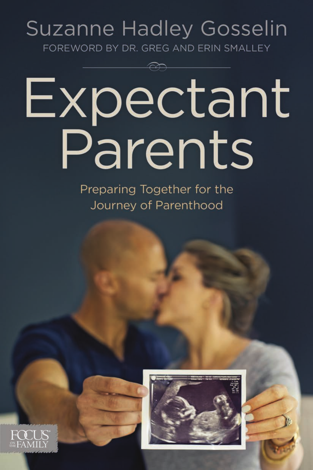# **Suzanne Hadley Gosselin**

FOREWORD BY DR. GREG AND ERIN SMALLEY

# Expectant Parents

Preparing Together for the Journey of Parenthood







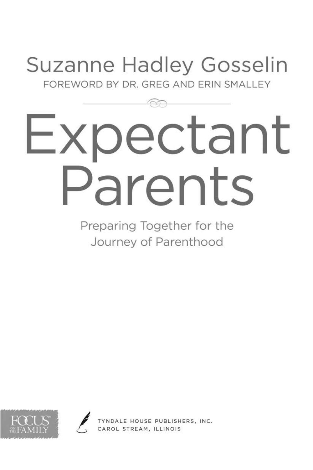# **Suzanne Hadley Gosselin** FOREWORD BY DR. GREG AND ERIN SMALLEY

# Expectant Parents

Preparing Together for the Journey of Parenthood





E HOUSE PUBLISHERS, INC.<br>STREAM, ILLINOIS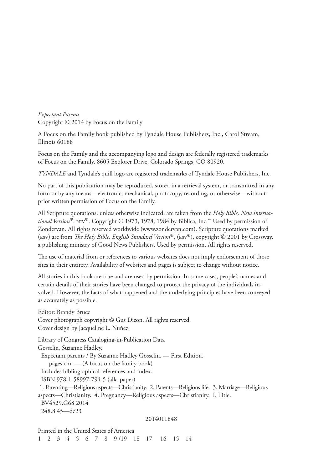*Expectant Parents* Copyright © 2014 by Focus on the Family

A Focus on the Family book published by Tyndale House Publishers, Inc., Carol Stream, Illinois 60188

Focus on the Family and the accompanying logo and design are federally registered trademarks of Focus on the Family, 8605 Explorer Drive, Colorado Springs, CO 80920.

*TYNDALE* and Tyndale's quill logo are registered trademarks of Tyndale House Publishers, Inc.

No part of this publication may be reproduced, stored in a retrieval system, or transmitted in any form or by any means—electronic, mechanical, photocopy, recording, or otherwise—without prior written permission of Focus on the Family.

All Scripture quotations, unless otherwise indicated, are taken from the *Holy Bible, New International Version*®. niv®. Copyright © 1973, 1978, 1984 by Biblica, Inc.™ Used by permission of Zondervan. All rights reserved worldwide (www.zondervan.com). Scripture quotations marked (esv) are from *The Holy Bible, English Standard Version*®, (esv®), copyright © 2001 by Crossway, a publishing ministry of Good News Publishers. Used by permission. All rights reserved.

The use of material from or references to various websites does not imply endorsement of those sites in their entirety. Availability of websites and pages is subject to change without notice.

All stories in this book are true and are used by permission. In some cases, people's names and certain details of their stories have been changed to protect the privacy of the individuals involved. However, the facts of what happened and the underlying principles have been conveyed as accurately as possible.

Editor: Brandy Bruce Cover photograph copyright © Gus Dizon. All rights reserved. Cover design by Jacqueline L. Nuñez Library of Congress Cataloging-in-Publication Data Gosselin, Suzanne Hadley. Expectant parents / By Suzanne Hadley Gosselin. — First Edition. pages cm. — (A focus on the family book) Includes bibliographical references and index. ISBN 978-1-58997-794-5 (alk. paper) 1. Parenting—Religious aspects—Christianity. 2. Parents—Religious life. 3. Marriage—Religious aspects—Christianity. 4. Pregnancy—Religious aspects—Christianity. I. Title. BV4529.G68 2014 248.8'45—dc23 2014011848

Printed in the United States of America 1 2 3 4 5 6 7 8 9 /19 18 17 16 15 14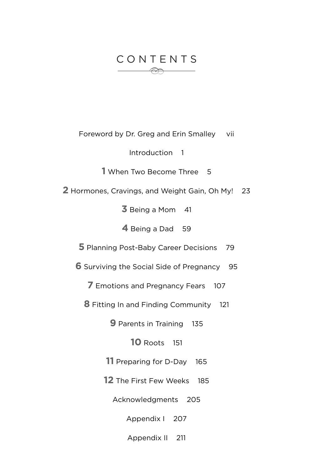## **CONTENTS**  $\circledcirc$

[Foreword by Dr. Greg and Erin Smalley vii](#page-5-0)

[Introduction 1](#page-7-0)

 [When Two Become Three 5](#page-11-0)

Hormones, Cravings, and Weight Gain, Oh My! 23

Being a Mom 41

Being a Dad 59

Planning Post-Baby Career Decisions 79

Surviving the Social Side of Pregnancy 95

Emotions and Pregnancy Fears 107

Fitting In and Finding Community 121

Parents in Training 135

Roots 151

Preparing for D-Day 165

The First Few Weeks 185

Acknowledgments 205

Appendix I 207

Appendix II 211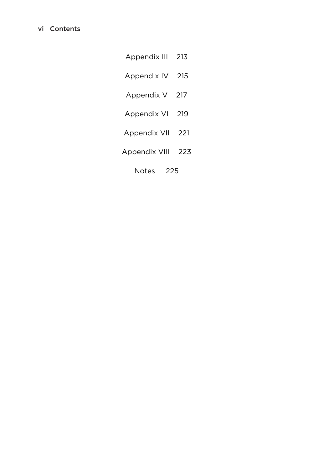#### vi Contents

- Appendix III 213
- Appendix IV 215
- Appendix V 217
- Appendix VI 219
- Appendix VII 221
- Appendix VIII 223
	- Notes 225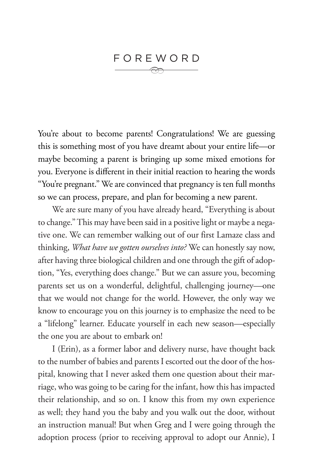### <span id="page-5-0"></span>F o r e w o rd  $\circledcirc$

You're about to become parents! Congratulations! We are guessing this is something most of you have dreamt about your entire life—or maybe becoming a parent is bringing up some mixed emotions for you. Everyone is different in their initial reaction to hearing the words "You're pregnant." We are convinced that pregnancy is ten full months so we can process, prepare, and plan for becoming a new parent.

We are sure many of you have already heard, "Everything is about to change." This may have been said in a positive light or maybe a negative one. We can remember walking out of our first Lamaze class and thinking, *What have we gotten ourselves into?* We can honestly say now, after having three biological children and one through the gift of adoption, "Yes, everything does change." But we can assure you, becoming parents set us on a wonderful, delightful, challenging journey—one that we would not change for the world. However, the only way we know to encourage you on this journey is to emphasize the need to be a "lifelong" learner. Educate yourself in each new season—especially the one you are about to embark on!

I (Erin), as a former labor and delivery nurse, have thought back to the number of babies and parents I escorted out the door of the hospital, knowing that I never asked them one question about their marriage, who was going to be caring for the infant, how this has impacted their relationship, and so on. I know this from my own experience as well; they hand you the baby and you walk out the door, without an instruction manual! But when Greg and I were going through the adoption process (prior to receiving approval to adopt our Annie), I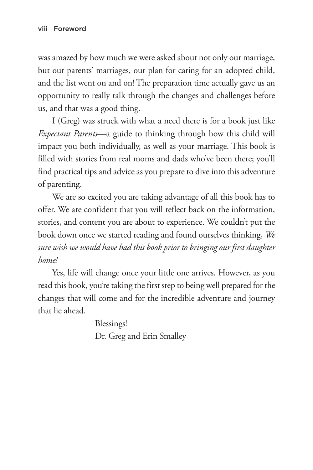was amazed by how much we were asked about not only our marriage, but our parents' marriages, our plan for caring for an adopted child, and the list went on and on! The preparation time actually gave us an opportunity to really talk through the changes and challenges before us, and that was a good thing.

I (Greg) was struck with what a need there is for a book just like *Expectant Parents—*a guide to thinking through how this child will impact you both individually, as well as your marriage. This book is filled with stories from real moms and dads who've been there; you'll find practical tips and advice as you prepare to dive into this adventure of parenting.

We are so excited you are taking advantage of all this book has to offer. We are confident that you will reflect back on the information, stories, and content you are about to experience. We couldn't put the book down once we started reading and found ourselves thinking, *We sure wish we would have had this book prior to bringing our first daughter home!*

Yes, life will change once your little one arrives. However, as you read this book, you're taking the first step to being well prepared for the changes that will come and for the incredible adventure and journey that lie ahead.

> Blessings! Dr. Greg and Erin Smalley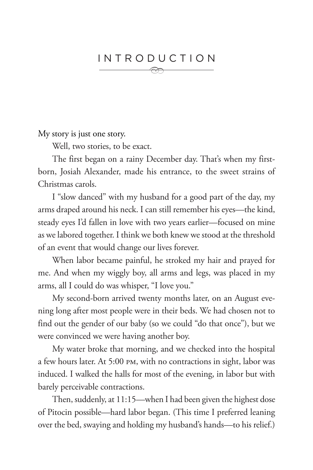## <span id="page-7-0"></span>Int r o d u c t i o n  $\circledcirc$

My story is just one story.

Well, two stories, to be exact.

The first began on a rainy December day. That's when my firstborn, Josiah Alexander, made his entrance, to the sweet strains of Christmas carols.

I "slow danced" with my husband for a good part of the day, my arms draped around his neck. I can still remember his eyes—the kind, steady eyes I'd fallen in love with two years earlier—focused on mine as we labored together. I think we both knew we stood at the threshold of an event that would change our lives forever.

When labor became painful, he stroked my hair and prayed for me. And when my wiggly boy, all arms and legs, was placed in my arms, all I could do was whisper, "I love you."

My second-born arrived twenty months later, on an August evening long after most people were in their beds. We had chosen not to find out the gender of our baby (so we could "do that once"), but we were convinced we were having another boy.

My water broke that morning, and we checked into the hospital a few hours later. At 5:00 pm, with no contractions in sight, labor was induced. I walked the halls for most of the evening, in labor but with barely perceivable contractions.

Then, suddenly, at 11:15—when I had been given the highest dose of Pitocin possible—hard labor began. (This time I preferred leaning over the bed, swaying and holding my husband's hands—to his relief.)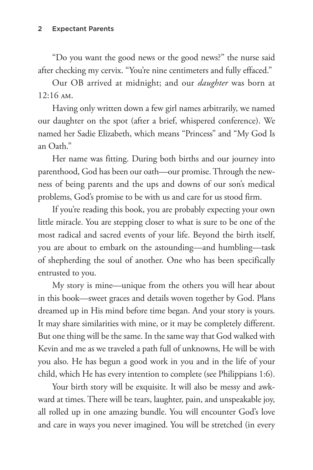"Do you want the good news or the good news?" the nurse said after checking my cervix. "You're nine centimeters and fully effaced."

Our OB arrived at midnight; and our *daughter* was born at 12:16 am.

Having only written down a few girl names arbitrarily, we named our daughter on the spot (after a brief, whispered conference). We named her Sadie Elizabeth, which means "Princess" and "My God Is an Oath."

Her name was fitting. During both births and our journey into parenthood, God has been our oath—our promise. Through the newness of being parents and the ups and downs of our son's medical problems, God's promise to be with us and care for us stood firm.

If you're reading this book, you are probably expecting your own little miracle. You are stepping closer to what is sure to be one of the most radical and sacred events of your life. Beyond the birth itself, you are about to embark on the astounding—and humbling—task of shepherding the soul of another. One who has been specifically entrusted to you.

My story is mine—unique from the others you will hear about in this book—sweet graces and details woven together by God. Plans dreamed up in His mind before time began. And your story is yours. It may share similarities with mine, or it may be completely different. But one thing will be the same. In the same way that God walked with Kevin and me as we traveled a path full of unknowns, He will be with you also. He has begun a good work in you and in the life of your child, which He has every intention to complete (see Philippians 1:6).

Your birth story will be exquisite. It will also be messy and awkward at times. There will be tears, laughter, pain, and unspeakable joy, all rolled up in one amazing bundle. You will encounter God's love and care in ways you never imagined. You will be stretched (in every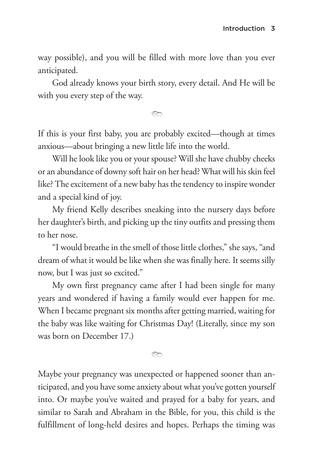way possible), and you will be filled with more love than you ever anticipated.

God already knows your birth story, every detail. And He will be with you every step of the way.

 $\infty$ 

If this is your first baby, you are probably excited—though at times anxious—about bringing a new little life into the world.

Will he look like you or your spouse? Will she have chubby cheeks or an abundance of downy soft hair on her head? What will his skin feel like? The excitement of a new baby has the tendency to inspire wonder and a special kind of joy.

My friend Kelly describes sneaking into the nursery days before her daughter's birth, and picking up the tiny outfits and pressing them to her nose.

"I would breathe in the smell of those little clothes," she says, "and dream of what it would be like when she was finally here. It seems silly now, but I was just so excited."

My own first pregnancy came after I had been single for many years and wondered if having a family would ever happen for me. When I became pregnant six months after getting married, waiting for the baby was like waiting for Christmas Day! (Literally, since my son was born on December 17.)

 $\infty$ 

Maybe your pregnancy was unexpected or happened sooner than anticipated, and you have some anxiety about what you've gotten yourself into. Or maybe you've waited and prayed for a baby for years, and similar to Sarah and Abraham in the Bible, for you, this child is the fulfillment of long-held desires and hopes. Perhaps the timing was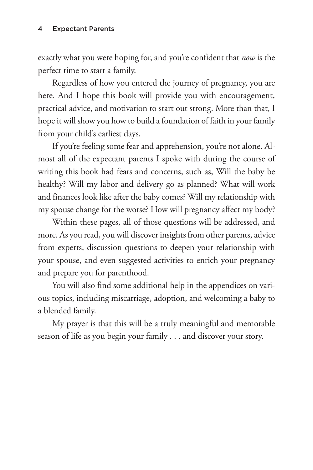#### 4 Expectant Parents

exactly what you were hoping for, and you're confident that *now* is the perfect time to start a family.

Regardless of how you entered the journey of pregnancy, you are here. And I hope this book will provide you with encouragement, practical advice, and motivation to start out strong. More than that, I hope it will show you how to build a foundation of faith in your family from your child's earliest days.

If you're feeling some fear and apprehension, you're not alone. Almost all of the expectant parents I spoke with during the course of writing this book had fears and concerns, such as, Will the baby be healthy? Will my labor and delivery go as planned? What will work and finances look like after the baby comes? Will my relationship with my spouse change for the worse? How will pregnancy affect my body?

Within these pages, all of those questions will be addressed, and more. As you read, you will discover insights from other parents, advice from experts, discussion questions to deepen your relationship with your spouse, and even suggested activities to enrich your pregnancy and prepare you for parenthood.

You will also find some additional help in the appendices on various topics, including miscarriage, adoption, and welcoming a baby to a blended family.

My prayer is that this will be a truly meaningful and memorable season of life as you begin your family . . . and discover your story.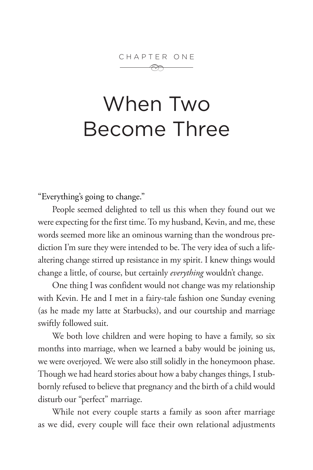#### Chapter One  $\widehat{\phantom{m}}$

# <span id="page-11-0"></span>When Two Become Three

"Everything's going to change."

People seemed delighted to tell us this when they found out we were expecting for the first time. To my husband, Kevin, and me, these words seemed more like an ominous warning than the wondrous prediction I'm sure they were intended to be. The very idea of such a lifealtering change stirred up resistance in my spirit. I knew things would change a little, of course, but certainly *everything* wouldn't change.

One thing I was confident would not change was my relationship with Kevin. He and I met in a fairy-tale fashion one Sunday evening (as he made my latte at Starbucks), and our courtship and marriage swiftly followed suit.

We both love children and were hoping to have a family, so six months into marriage, when we learned a baby would be joining us, we were overjoyed. We were also still solidly in the honeymoon phase. Though we had heard stories about how a baby changes things, I stubbornly refused to believe that pregnancy and the birth of a child would disturb our "perfect" marriage.

While not every couple starts a family as soon after marriage as we did, every couple will face their own relational adjustments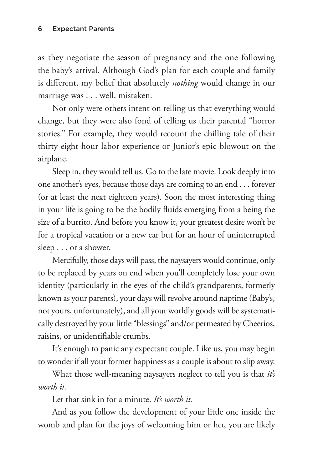as they negotiate the season of pregnancy and the one following the baby's arrival. Although God's plan for each couple and family is different, my belief that absolutely *nothing* would change in our marriage was . . . well, mistaken.

Not only were others intent on telling us that everything would change, but they were also fond of telling us their parental "horror stories." For example, they would recount the chilling tale of their thirty-eight-hour labor experience or Junior's epic blowout on the airplane.

Sleep in, they would tell us. Go to the late movie. Look deeply into one another's eyes, because those days are coming to an end . . . forever (or at least the next eighteen years). Soon the most interesting thing in your life is going to be the bodily fluids emerging from a being the size of a burrito. And before you know it, your greatest desire won't be for a tropical vacation or a new car but for an hour of uninterrupted sleep . . . or a shower.

Mercifully, those days will pass, the naysayers would continue, only to be replaced by years on end when you'll completely lose your own identity (particularly in the eyes of the child's grandparents, formerly known as your parents), your days will revolve around naptime (Baby's, not yours, unfortunately), and all your worldly goods will be systematically destroyed by your little "blessings" and/or permeated by Cheerios, raisins, or unidentifiable crumbs.

It's enough to panic any expectant couple. Like us, you may begin to wonder if all your former happiness as a couple is about to slip away.

What those well-meaning naysayers neglect to tell you is that *it's worth it.*

Let that sink in for a minute. *It's worth it.*

And as you follow the development of your little one inside the womb and plan for the joys of welcoming him or her, you are likely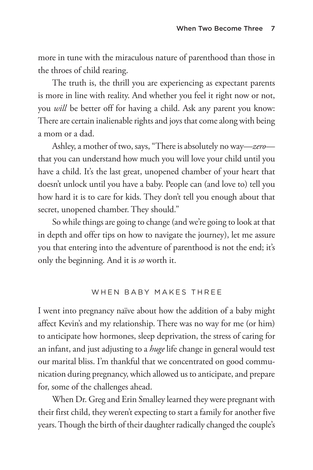more in tune with the miraculous nature of parenthood than those in the throes of child rearing.

The truth is, the thrill you are experiencing as expectant parents is more in line with reality. And whether you feel it right now or not, you *will* be better off for having a child. Ask any parent you know: There are certain inalienable rights and joys that come along with being a mom or a dad.

Ashley, a mother of two, says, "There is absolutely no way—*zero* that you can understand how much you will love your child until you have a child. It's the last great, unopened chamber of your heart that doesn't unlock until you have a baby. People can (and love to) tell you how hard it is to care for kids. They don't tell you enough about that secret, unopened chamber. They should."

So while things are going to change (and we're going to look at that in depth and offer tips on how to navigate the journey), let me assure you that entering into the adventure of parenthood is not the end; it's only the beginning. And it is *so* worth it.

#### WHEN BABY MAKES THREE

I went into pregnancy naïve about how the addition of a baby might affect Kevin's and my relationship. There was no way for me (or him) to anticipate how hormones, sleep deprivation, the stress of caring for an infant, and just adjusting to a *huge* life change in general would test our marital bliss. I'm thankful that we concentrated on good communication during pregnancy, which allowed us to anticipate, and prepare for, some of the challenges ahead.

When Dr. Greg and Erin Smalley learned they were pregnant with their first child, they weren't expecting to start a family for another five years. Though the birth of their daughter radically changed the couple's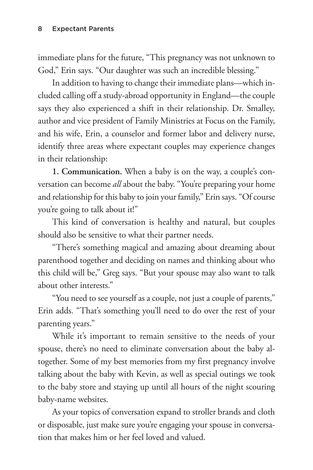immediate plans for the future, "This pregnancy was not unknown to God," Erin says. "Our daughter was such an incredible blessing."

In addition to having to change their immediate plans—which included calling off a study-abroad opportunity in England—the couple says they also experienced a shift in their relationship. Dr. Smalley, author and vice president of Family Ministries at Focus on the Family, and his wife, Erin, a counselor and former labor and delivery nurse, identify three areas where expectant couples may experience changes in their relationship:

**1. Communication.** When a baby is on the way, a couple's conversation can become *all* about the baby. "You're preparing your home and relationship for this baby to join your family," Erin says. "Of course you're going to talk about it!"

This kind of conversation is healthy and natural, but couples should also be sensitive to what their partner needs.

"There's something magical and amazing about dreaming about parenthood together and deciding on names and thinking about who this child will be," Greg says. "But your spouse may also want to talk about other interests."

"You need to see yourself as a couple, not just a couple of parents," Erin adds. "That's something you'll need to do over the rest of your parenting years."

While it's important to remain sensitive to the needs of your spouse, there's no need to eliminate conversation about the baby altogether. Some of my best memories from my first pregnancy involve talking about the baby with Kevin, as well as special outings we took to the baby store and staying up until all hours of the night scouring baby-name websites.

As your topics of conversation expand to stroller brands and cloth or disposable, just make sure you're engaging your spouse in conversation that makes him or her feel loved and valued.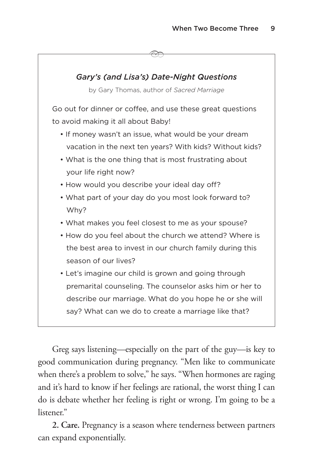

Greg says listening—especially on the part of the guy—is key to good communication during pregnancy. "Men like to communicate when there's a problem to solve," he says. "When hormones are raging and it's hard to know if her feelings are rational, the worst thing I can do is debate whether her feeling is right or wrong. I'm going to be a listener"

**2. Care.** Pregnancy is a season where tenderness between partners can expand exponentially.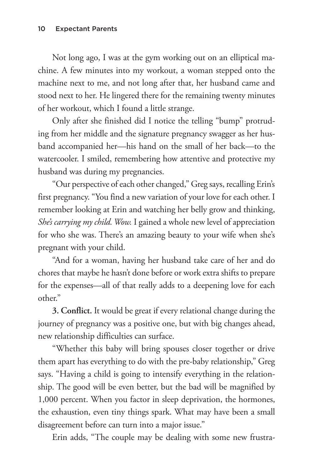Not long ago, I was at the gym working out on an elliptical machine. A few minutes into my workout, a woman stepped onto the machine next to me, and not long after that, her husband came and stood next to her. He lingered there for the remaining twenty minutes of her workout, which I found a little strange.

Only after she finished did I notice the telling "bump" protruding from her middle and the signature pregnancy swagger as her husband accompanied her—his hand on the small of her back—to the watercooler. I smiled, remembering how attentive and protective my husband was during my pregnancies.

"Our perspective of each other changed," Greg says, recalling Erin's first pregnancy. "You find a new variation of your love for each other. I remember looking at Erin and watching her belly grow and thinking, *She's carrying my child. Wow.* I gained a whole new level of appreciation for who she was. There's an amazing beauty to your wife when she's pregnant with your child.

"And for a woman, having her husband take care of her and do chores that maybe he hasn't done before or work extra shifts to prepare for the expenses—all of that really adds to a deepening love for each other."

**3. Conflict.** It would be great if every relational change during the journey of pregnancy was a positive one, but with big changes ahead, new relationship difficulties can surface.

"Whether this baby will bring spouses closer together or drive them apart has everything to do with the pre-baby relationship," Greg says. "Having a child is going to intensify everything in the relationship. The good will be even better, but the bad will be magnified by 1,000 percent. When you factor in sleep deprivation, the hormones, the exhaustion, even tiny things spark. What may have been a small disagreement before can turn into a major issue."

Erin adds, "The couple may be dealing with some new frustra-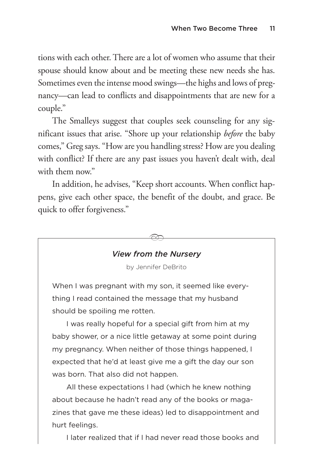tions with each other. There are a lot of women who assume that their spouse should know about and be meeting these new needs she has. Sometimes even the intense mood swings—the highs and lows of pregnancy—can lead to conflicts and disappointments that are new for a couple."

The Smalleys suggest that couples seek counseling for any significant issues that arise. "Shore up your relationship *before* the baby comes," Greg says. "How are you handling stress? How are you dealing with conflict? If there are any past issues you haven't dealt with, deal with them now."

In addition, he advises, "Keep short accounts. When conflict happens, give each other space, the benefit of the doubt, and grace. Be quick to offer forgiveness."

## $\circledcirc$ *View from the Nursery*

by Jennifer DeBrito

When I was pregnant with my son, it seemed like everything I read contained the message that my husband should be spoiling me rotten.

I was really hopeful for a special gift from him at my baby shower, or a nice little getaway at some point during my pregnancy. When neither of those things happened, I expected that he'd at least give me a gift the day our son was born. That also did not happen.

All these expectations I had (which he knew nothing about because he hadn't read any of the books or magazines that gave me these ideas) led to disappointment and hurt feelings.

I later realized that if I had never read those books and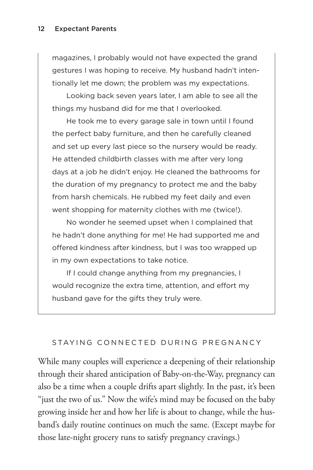magazines, I probably would not have expected the grand gestures I was hoping to receive. My husband hadn't intentionally let me down; the problem was my expectations.

Looking back seven years later, I am able to see all the things my husband did for me that I overlooked.

He took me to every garage sale in town until I found the perfect baby furniture, and then he carefully cleaned and set up every last piece so the nursery would be ready. He attended childbirth classes with me after very long days at a job he didn't enjoy. He cleaned the bathrooms for the duration of my pregnancy to protect me and the baby from harsh chemicals. He rubbed my feet daily and even went shopping for maternity clothes with me (twice!).

No wonder he seemed upset when I complained that he hadn't done anything for me! He had supported me and offered kindness after kindness, but I was too wrapped up in my own expectations to take notice.

If I could change anything from my pregnancies, I would recognize the extra time, attention, and effort my husband gave for the gifts they truly were.

#### STAYING CONNECTED DURING PREGNANCY

While many couples will experience a deepening of their relationship through their shared anticipation of Baby-on-the-Way, pregnancy can also be a time when a couple drifts apart slightly. In the past, it's been "just the two of us." Now the wife's mind may be focused on the baby growing inside her and how her life is about to change, while the husband's daily routine continues on much the same. (Except maybe for those late-night grocery runs to satisfy pregnancy cravings.)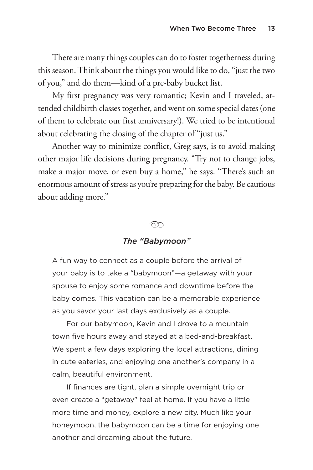There are many things couples can do to foster togetherness during this season. Think about the things you would like to do, "just the two of you," and do them—kind of a pre-baby bucket list.

My first pregnancy was very romantic; Kevin and I traveled, attended childbirth classes together, and went on some special dates (one of them to celebrate our first anniversary!). We tried to be intentional about celebrating the closing of the chapter of "just us."

Another way to minimize conflict, Greg says, is to avoid making other major life decisions during pregnancy. "Try not to change jobs, make a major move, or even buy a home," he says. "There's such an enormous amount of stress as you're preparing for the baby. Be cautious about adding more."

 $\circledcirc$ *The "Babymoon"*

A fun way to connect as a couple before the arrival of your baby is to take a "babymoon"—a getaway with your spouse to enjoy some romance and downtime before the baby comes. This vacation can be a memorable experience as you savor your last days exclusively as a couple.

For our babymoon, Kevin and I drove to a mountain town five hours away and stayed at a bed-and-breakfast. We spent a few days exploring the local attractions, dining in cute eateries, and enjoying one another's company in a calm, beautiful environment.

If finances are tight, plan a simple overnight trip or even create a "getaway" feel at home. If you have a little more time and money, explore a new city. Much like your honeymoon, the babymoon can be a time for enjoying one another and dreaming about the future.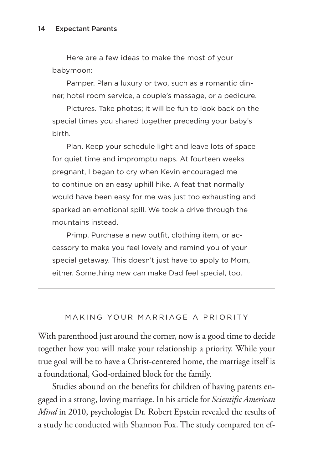Here are a few ideas to make the most of your babymoon:

Pamper. Plan a luxury or two, such as a romantic dinner, hotel room service, a couple's massage, or a pedicure.

Pictures. Take photos; it will be fun to look back on the special times you shared together preceding your baby's birth.

Plan. Keep your schedule light and leave lots of space for quiet time and impromptu naps. At fourteen weeks pregnant, I began to cry when Kevin encouraged me to continue on an easy uphill hike. A feat that normally would have been easy for me was just too exhausting and sparked an emotional spill. We took a drive through the mountains instead.

Primp. Purchase a new outfit, clothing item, or accessory to make you feel lovely and remind you of your special getaway. This doesn't just have to apply to Mom, either. Something new can make Dad feel special, too.

#### MAKING YOUR MARRIAGE A PRIORITY

With parenthood just around the corner, now is a good time to decide together how you will make your relationship a priority. While your true goal will be to have a Christ-centered home, the marriage itself is a foundational, God-ordained block for the family.

Studies abound on the benefits for children of having parents engaged in a strong, loving marriage. In his article for *Scientific American Mind* in 2010, psychologist Dr. Robert Epstein revealed the results of a study he conducted with Shannon Fox. The study compared ten ef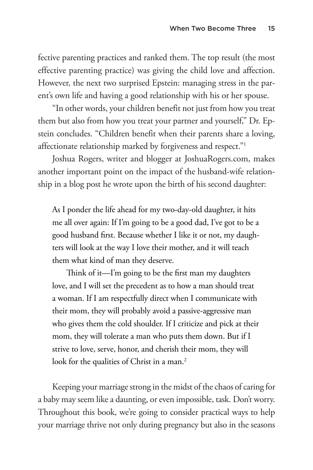fective parenting practices and ranked them. The top result (the most effective parenting practice) was giving the child love and affection. However, the next two surprised Epstein: managing stress in the parent's own life and having a good relationship with his or her spouse.

"In other words, your children benefit not just from how you treat them but also from how you treat your partner and yourself," Dr. Epstein concludes. "Children benefit when their parents share a loving, affectionate relationship marked by forgiveness and respect."1

Joshua Rogers, writer and blogger at JoshuaRogers.com, makes another important point on the impact of the husband-wife relationship in a blog post he wrote upon the birth of his second daughter:

As I ponder the life ahead for my two-day-old daughter, it hits me all over again: If I'm going to be a good dad, I've got to be a good husband first. Because whether I like it or not, my daughters will look at the way I love their mother, and it will teach them what kind of man they deserve.

Think of it—I'm going to be the first man my daughters love, and I will set the precedent as to how a man should treat a woman. If I am respectfully direct when I communicate with their mom, they will probably avoid a passive-aggressive man who gives them the cold shoulder. If I criticize and pick at their mom, they will tolerate a man who puts them down. But if I strive to love, serve, honor, and cherish their mom, they will look for the qualities of Christ in a man.<sup>2</sup>

Keeping your marriage strong in the midst of the chaos of caring for a baby may seem like a daunting, or even impossible, task. Don't worry. Throughout this book, we're going to consider practical ways to help your marriage thrive not only during pregnancy but also in the seasons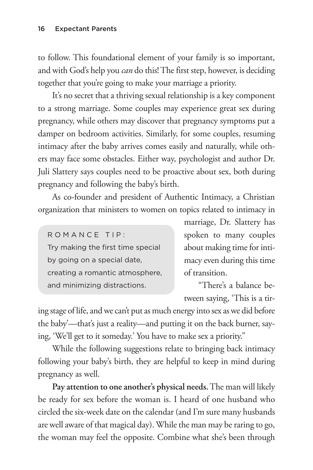to follow. This foundational element of your family is so important, and with God's help you *can* do this! The first step, however, is deciding together that you're going to make your marriage a priority.

It's no secret that a thriving sexual relationship is a key component to a strong marriage. Some couples may experience great sex during pregnancy, while others may discover that pregnancy symptoms put a damper on bedroom activities. Similarly, for some couples, resuming intimacy after the baby arrives comes easily and naturally, while others may face some obstacles. Either way, psychologist and author Dr. Juli Slattery says couples need to be proactive about sex, both during pregnancy and following the baby's birth.

As co-founder and president of Authentic Intimacy, a Christian organization that ministers to women on topics related to intimacy in

ROMANCE TIP: Try making the first time special by going on a special date, creating a romantic atmosphere, and minimizing distractions.

marriage, Dr. Slattery has spoken to many couples about making time for intimacy even during this time of transition.

"There's a balance between saying, 'This is a tir-

ing stage of life, and we can't put as much energy into sex as we did before the baby'—that's just a reality—and putting it on the back burner, saying, 'We'll get to it someday.' You have to make sex a priority."

While the following suggestions relate to bringing back intimacy following your baby's birth, they are helpful to keep in mind during pregnancy as well.

**Pay attention to one another's physical needs.** The man will likely be ready for sex before the woman is. I heard of one husband who circled the six-week date on the calendar (and I'm sure many husbands are well aware of that magical day). While the man may be raring to go, the woman may feel the opposite. Combine what she's been through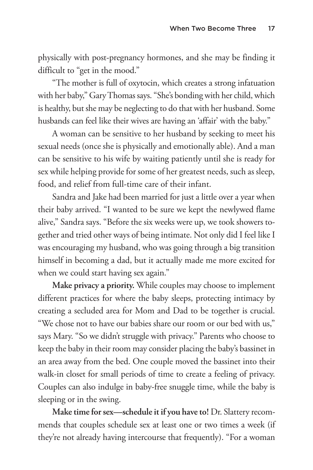physically with post-pregnancy hormones, and she may be finding it difficult to "get in the mood."

"The mother is full of oxytocin, which creates a strong infatuation with her baby," Gary Thomas says. "She's bonding with her child, which is healthy, but she may be neglecting to do that with her husband. Some husbands can feel like their wives are having an 'affair' with the baby."

A woman can be sensitive to her husband by seeking to meet his sexual needs (once she is physically and emotionally able). And a man can be sensitive to his wife by waiting patiently until she is ready for sex while helping provide for some of her greatest needs, such as sleep, food, and relief from full-time care of their infant.

Sandra and Jake had been married for just a little over a year when their baby arrived. "I wanted to be sure we kept the newlywed flame alive," Sandra says. "Before the six weeks were up, we took showers together and tried other ways of being intimate. Not only did I feel like I was encouraging my husband, who was going through a big transition himself in becoming a dad, but it actually made me more excited for when we could start having sex again."

**Make privacy a priority.** While couples may choose to implement different practices for where the baby sleeps, protecting intimacy by creating a secluded area for Mom and Dad to be together is crucial. "We chose not to have our babies share our room or our bed with us," says Mary. "So we didn't struggle with privacy." Parents who choose to keep the baby in their room may consider placing the baby's bassinet in an area away from the bed. One couple moved the bassinet into their walk-in closet for small periods of time to create a feeling of privacy. Couples can also indulge in baby-free snuggle time, while the baby is sleeping or in the swing.

**Make time for sex—schedule it if you have to!** Dr. Slattery recommends that couples schedule sex at least one or two times a week (if they're not already having intercourse that frequently). "For a woman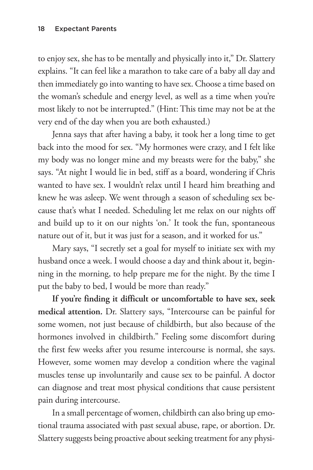to enjoy sex, she has to be mentally and physically into it," Dr. Slattery explains. "It can feel like a marathon to take care of a baby all day and then immediately go into wanting to have sex. Choose a time based on the woman's schedule and energy level, as well as a time when you're most likely to not be interrupted." (Hint: This time may not be at the very end of the day when you are both exhausted.)

Jenna says that after having a baby, it took her a long time to get back into the mood for sex. "My hormones were crazy, and I felt like my body was no longer mine and my breasts were for the baby," she says. "At night I would lie in bed, stiff as a board, wondering if Chris wanted to have sex. I wouldn't relax until I heard him breathing and knew he was asleep. We went through a season of scheduling sex because that's what I needed. Scheduling let me relax on our nights off and build up to it on our nights 'on.' It took the fun, spontaneous nature out of it, but it was just for a season, and it worked for us."

Mary says, "I secretly set a goal for myself to initiate sex with my husband once a week. I would choose a day and think about it, beginning in the morning, to help prepare me for the night. By the time I put the baby to bed, I would be more than ready."

**If you're finding it difficult or uncomfortable to have sex, seek medical attention.** Dr. Slattery says, "Intercourse can be painful for some women, not just because of childbirth, but also because of the hormones involved in childbirth." Feeling some discomfort during the first few weeks after you resume intercourse is normal, she says. However, some women may develop a condition where the vaginal muscles tense up involuntarily and cause sex to be painful. A doctor can diagnose and treat most physical conditions that cause persistent pain during intercourse.

In a small percentage of women, childbirth can also bring up emotional trauma associated with past sexual abuse, rape, or abortion. Dr. Slattery suggests being proactive about seeking treatment for any physi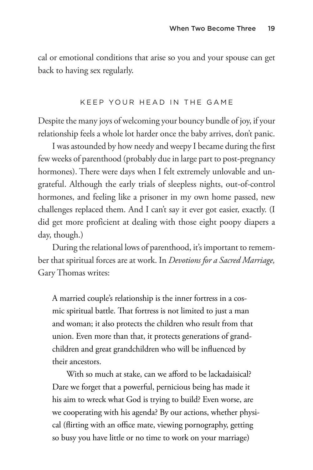cal or emotional conditions that arise so you and your spouse can get back to having sex regularly.

#### KEEP YOUR HEAD IN THE GAME

Despite the many joys of welcoming your bouncy bundle of joy, if your relationship feels a whole lot harder once the baby arrives, don't panic.

I was astounded by how needy and weepy I became during the first few weeks of parenthood (probably due in large part to post-pregnancy hormones). There were days when I felt extremely unlovable and ungrateful. Although the early trials of sleepless nights, out-of-control hormones, and feeling like a prisoner in my own home passed, new challenges replaced them. And I can't say it ever got easier, exactly. (I did get more proficient at dealing with those eight poopy diapers a day, though.)

During the relational lows of parenthood, it's important to remember that spiritual forces are at work. In *Devotions for a Sacred Marriage,*  Gary Thomas writes:

A married couple's relationship is the inner fortress in a cosmic spiritual battle. That fortress is not limited to just a man and woman; it also protects the children who result from that union. Even more than that, it protects generations of grandchildren and great grandchildren who will be influenced by their ancestors.

With so much at stake, can we afford to be lackadaisical? Dare we forget that a powerful, pernicious being has made it his aim to wreck what God is trying to build? Even worse, are we cooperating with his agenda? By our actions, whether physical (flirting with an office mate, viewing pornography, getting so busy you have little or no time to work on your marriage)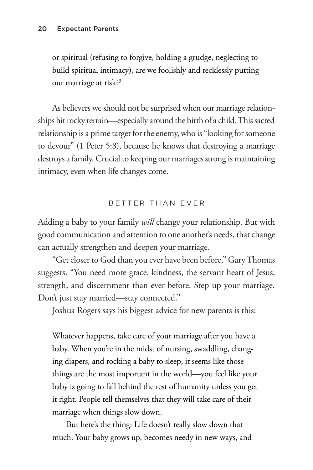or spiritual (refusing to forgive, holding a grudge, neglecting to build spiritual intimacy), are we foolishly and recklessly putting our marriage at risk?3

As believers we should not be surprised when our marriage relationships hit rocky terrain—especially around the birth of a child. This sacred relationship is a prime target for the enemy, who is "looking for someone to devour" (1 Peter 5:8), because he knows that destroying a marriage destroys a family. Crucial to keeping our marriages strong is maintaining intimacy, even when life changes come.

#### BETTER THAN EVER

Adding a baby to your family *will* change your relationship. But with good communication and attention to one another's needs, that change can actually strengthen and deepen your marriage.

"Get closer to God than you ever have been before," Gary Thomas suggests. "You need more grace, kindness, the servant heart of Jesus, strength, and discernment than ever before. Step up your marriage. Don't just stay married—stay connected."

Joshua Rogers says his biggest advice for new parents is this:

Whatever happens, take care of your marriage after you have a baby. When you're in the midst of nursing, swaddling, changing diapers, and rocking a baby to sleep, it seems like those things are the most important in the world—you feel like your baby is going to fall behind the rest of humanity unless you get it right. People tell themselves that they will take care of their marriage when things slow down.

But here's the thing: Life doesn't really slow down that much. Your baby grows up, becomes needy in new ways, and